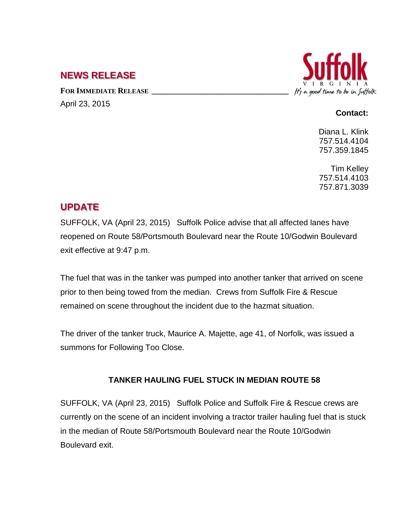## **NEWS RELEASE**

FOR **IMMEDIATE RELEASE** April 23, 2015



## **Contact:**

Diana L. Klink 757.514.4104 757.359.1845

Tim Kelley 757.514.4103 757.871.3039

## **UPDATE**

SUFFOLK, VA (April 23, 2015) Suffolk Police advise that all affected lanes have reopened on Route 58/Portsmouth Boulevard near the Route 10/Godwin Boulevard exit effective at 9:47 p.m.

The fuel that was in the tanker was pumped into another tanker that arrived on scene prior to then being towed from the median. Crews from Suffolk Fire & Rescue remained on scene throughout the incident due to the hazmat situation.

The driver of the tanker truck, Maurice A. Majette, age 41, of Norfolk, was issued a summons for Following Too Close.

## **TANKER HAULING FUEL STUCK IN MEDIAN ROUTE 58**

SUFFOLK, VA (April 23, 2015) Suffolk Police and Suffolk Fire & Rescue crews are currently on the scene of an incident involving a tractor trailer hauling fuel that is stuck in the median of Route 58/Portsmouth Boulevard near the Route 10/Godwin Boulevard exit.